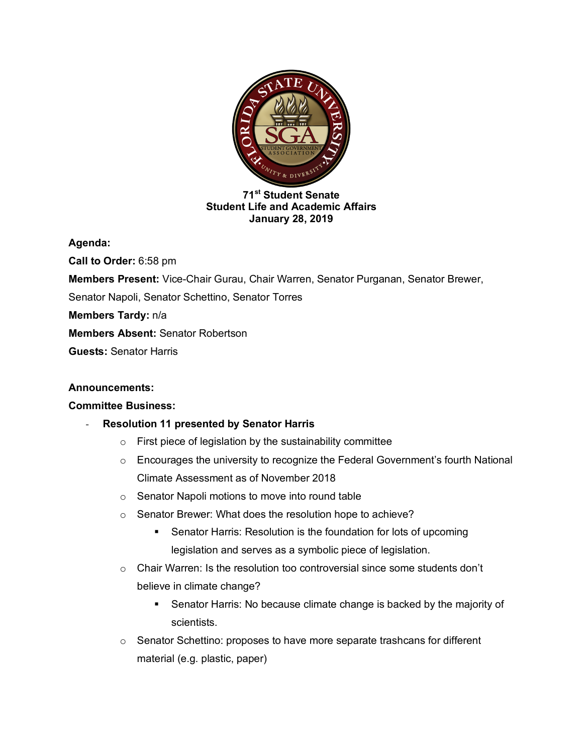

#### **71st Student Senate Student Life and Academic Affairs January 28, 2019**

**Agenda:** 

**Call to Order:** 6:58 pm **Members Present:** Vice-Chair Gurau, Chair Warren, Senator Purganan, Senator Brewer, Senator Napoli, Senator Schettino, Senator Torres **Members Tardy:** n/a **Members Absent:** Senator Robertson **Guests:** Senator Harris

## **Announcements:**

## **Committee Business:**

# - **Resolution 11 presented by Senator Harris**

- $\circ$  First piece of legislation by the sustainability committee
- $\circ$  Encourages the university to recognize the Federal Government's fourth National Climate Assessment as of November 2018
- o Senator Napoli motions to move into round table
- o Senator Brewer: What does the resolution hope to achieve?
	- Senator Harris: Resolution is the foundation for lots of upcoming legislation and serves as a symbolic piece of legislation.
- o Chair Warren: Is the resolution too controversial since some students don't believe in climate change?
	- Senator Harris: No because climate change is backed by the majority of scientists.
- $\circ$  Senator Schettino: proposes to have more separate trashcans for different material (e.g. plastic, paper)